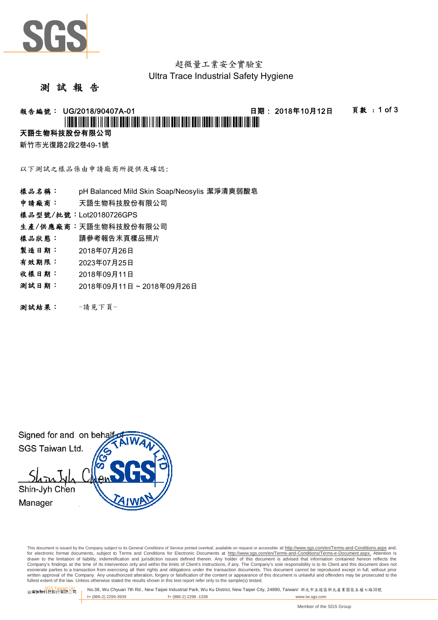

## 超微量工業安全實驗室 Ultra Trace Industrial Safety Hygiene

## 測 試 報 告

# 報告編號: UG/2018/90407A-01 日期: 2018年10月12日 頁數 : 1 of 3

## \*UG/2018/90407A-01\*

## 天語生物科技股份有限公司

新竹市光復路2段2巷49-1號

以下測試之樣品係由申請廠商所提供及確認:

- 樣品名稱: pH Balanced Mild Skin Soap/Neosylis 潔淨清爽弱酸皂
- 申請廠商: 天語生物科技股份有限公司
- 樣品型號/批號:Lot20180726GPS
- 生產/供應廠商:天語生物科技股份有限公司
- 樣品狀態: 請參考報告末頁樣品照片
- 製造日期: 2018年07月26日
- 有效期限: 2023年07月25日
- 收樣日期: 2018年09月11日
- 測試日期: 2018年09月11日 ~ 2018年09月26日
- 測試結果: -請見下頁-

Signed for and on beha SGS Taiwan Ltd. Shin-Jyh Chen Manager

This document is issued by the Company subject to its General Conditions of Service printed overleaf, available on request or accessible at http://www.sgs.com/en/Terms-and-Conditions.aspx and, for electronic format documents, subject to Terms and Conditions for Electronic Documents at http://www.sgs.com/en/Terms-and-Conditions/Terms-e-Document.aspx. Attention is drawn to the limitation of liability, indemnification and jurisdiction issues defined therein. Any holder of this document is advised that information contained hereon reflects the<br>Company's findings at the time of its int exonerate parties to a transaction from exercising all their rights and obligations under the transaction documents. This document cannot be reproduced except in full, without prior written approval of the Company. Any unauthorized alteration, forgery or falsification of the content or appearance of this document is unlawful and offenders may be prosecuted to the<br>fullest extent of the law. Unless othe

SGS Taiwan Ltd. 台灣檢驗科技股份有限公司 No.38, Wu Chyuan 7th Rd., New Taipei Industrial Park, Wu Ku District, New Taipei City, 24890, Taiwan/ 新北市五股區新北產業園區五權七路38號 t+ (886-2) 2299-3939 f+ (886-2) 2298 -1338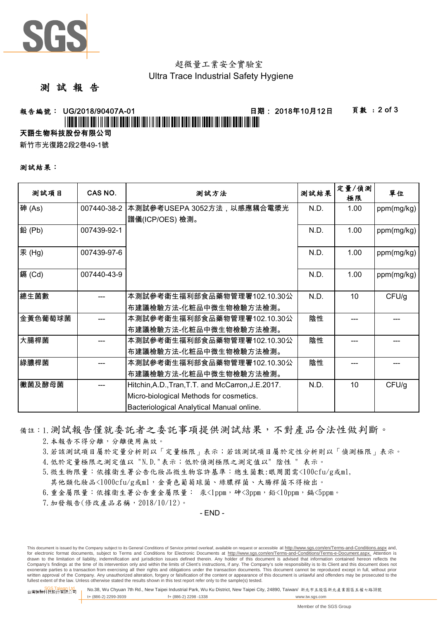

## 超微量工業安全實驗室 Ultra Trace Industrial Safety Hygiene

## 測 試 報 告

報告編號: UG/2018/90407A-01 日期: 2018年10月12日 頁數 : 2 of 3

## \*UG/2018/90407A-01\*

## 天語生物科技股份有限公司

新竹市光復路2段2巷49-1號

### 測試結果:

| 测試項目    | CAS NO.     | 测試方法                                               | 測試結果 | 定量/偵測<br>極限 | 單位         |
|---------|-------------|----------------------------------------------------|------|-------------|------------|
| 砷(As)   | 007440-38-2 | 本測試參考USEPA 3052方法,以感應耦合電漿光                         | N.D. | 1.00        | ppm(mg/kg) |
|         |             | 譜儀(ICP/OES) 檢測。                                    |      |             |            |
| 鉛(Pb)   | 007439-92-1 |                                                    | N.D. | 1.00        | ppm(mg/kg) |
| 汞(Hg)   | 007439-97-6 |                                                    | N.D. | 1.00        | ppm(mg/kg) |
| 鎘 (Cd)  | 007440-43-9 |                                                    | N.D. | 1.00        | ppm(mg/kg) |
| 總生菌數    |             | 本測試參考衛生福利部食品藥物管理署102.10.30公                        | N.D. | 10          | CFU/g      |
|         |             | 布建議檢驗方法-化粧品中微生物檢驗方法檢測。                             |      |             |            |
| 金黃色葡萄球菌 |             | 本測試參考衛生福利部食品藥物管理署102.10.30公                        | 陰性   |             |            |
|         |             | 布建議檢驗方法-化粧品中微生物檢驗方法檢測。                             |      |             |            |
| 大腸桿菌    |             | 本測試參考衛生福利部食品藥物管理署102.10.30公                        | 陰性   |             |            |
|         |             | 布建議檢驗方法-化粧品中微生物檢驗方法檢測。                             |      |             |            |
| 綠膿桿菌    |             | 本測試參考衛生福利部食品藥物管理署102.10.30公                        | 陰性   |             |            |
|         |             | 布建議檢驗方法-化粧品中微生物檢驗方法檢測。                             |      |             |            |
| Ⅰ黴菌及酵母菌 |             | Hitchin, A.D., Tran, T.T. and McCarron, J.E. 2017. | N.D. | 10          | CFU/g      |
|         |             | Micro-biological Methods for cosmetics.            |      |             |            |
|         |             | Bacteriological Analytical Manual online.          |      |             |            |

### 備註:1.測試報告僅就委託者之委託事項提供測試結果,不對產品合法性做判斷。

2. 本報告不得分離,分離使用無效。

3.若該測試項目屬於定量分析則以「定量極限」表示;若該測試項目屬於定性分析則以「偵測極限」表示。

4.低於定量極限之測定值以 "N.D."表示;低於偵測極限之測定值以" 陰性 " 表示。

5.微生物限量:依據衛生署公告化妝品微生物容許基準:總生菌數:眼周圍需<100cfu/g或ml,

其他類化妝品<1000cfu/g或ml,金黃色葡萄球菌、綠膿桿菌、大腸桿菌不得檢出。

 $6.$ 重金屬限量:依據衛生署公告重金屬限量: 汞<1ppm,砷<3ppm,鉛<10ppm,編<5ppm。

7.加發報告(修改產品名稱,2018/10/12)。

 $-$  FND  $-$ 

This document is issued by the Company subject to its General Conditions of Service printed overleaf, available on request or accessible at http://www.sqs.com/en/Terms-and-Conditions.aspx and, for electronic format documents, subject to Terms and Conditions for Electronic Documents at http://www.sgs.com/en/Terms-and-Conditions/Terms-e-Document.aspx. Attention is drawn to the limitation of liability, indemnification and jurisdiction issues defined therein. Any holder of this document is advised that information contained hereon reflects the<br>Company's findings at the time of its int exonerate parties to a transaction from exercising all their rights and obligations under the transaction documents. This document cannot be reproduced except in full, without prior written approval of the Company. Any unauthorized alteration, forgery or falsification of the content or appearance of this document is unlawful and offenders may be prosecuted to the<br>fullest extent of the law. Unless othe